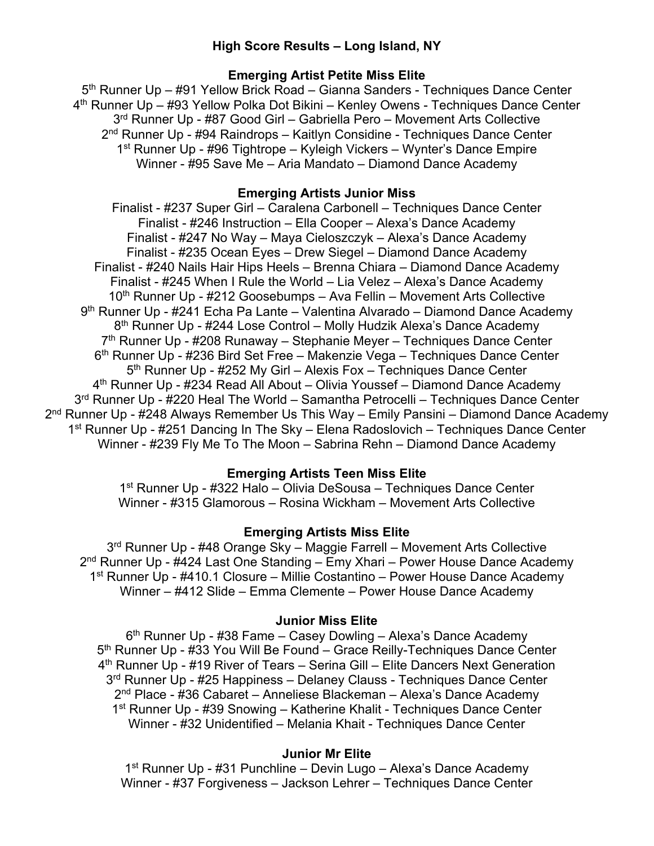# **High Score Results – Long Island, NY**

## **Emerging Artist Petite Miss Elite**

5<sup>th</sup> Runner Up – #91 Yellow Brick Road – Gianna Sanders - Techniques Dance Center 4th Runner Up – #93 Yellow Polka Dot Bikini – Kenley Owens - Techniques Dance Center 3rd Runner Up - #87 Good Girl – Gabriella Pero – Movement Arts Collective 2<sup>nd</sup> Runner Up - #94 Raindrops – Kaitlyn Considine - Techniques Dance Center 1st Runner Up - #96 Tightrope – Kyleigh Vickers – Wynter's Dance Empire Winner - #95 Save Me – Aria Mandato – Diamond Dance Academy

## **Emerging Artists Junior Miss**

Finalist - #237 Super Girl – Caralena Carbonell – Techniques Dance Center Finalist - #246 Instruction – Ella Cooper – Alexa's Dance Academy Finalist - #247 No Way – Maya Cieloszczyk – Alexa's Dance Academy Finalist - #235 Ocean Eyes – Drew Siegel – Diamond Dance Academy Finalist - #240 Nails Hair Hips Heels – Brenna Chiara – Diamond Dance Academy Finalist - #245 When I Rule the World – Lia Velez – Alexa's Dance Academy 10<sup>th</sup> Runner Up - #212 Goosebumps – Ava Fellin – Movement Arts Collective 9<sup>th</sup> Runner Up - #241 Echa Pa Lante – Valentina Alvarado – Diamond Dance Academy 8<sup>th</sup> Runner Up - #244 Lose Control – Molly Hudzik Alexa's Dance Academy 7<sup>th</sup> Runner Up - #208 Runaway – Stephanie Meyer – Techniques Dance Center 6th Runner Up - #236 Bird Set Free – Makenzie Vega – Techniques Dance Center 5<sup>th</sup> Runner Up - #252 My Girl – Alexis Fox – Techniques Dance Center 4th Runner Up - #234 Read All About – Olivia Youssef – Diamond Dance Academy 3<sup>rd</sup> Runner Up - #220 Heal The World – Samantha Petrocelli – Techniques Dance Center  $2<sup>nd</sup>$  Runner Up - #248 Always Remember Us This Way – Emily Pansini – Diamond Dance Academy 1<sup>st</sup> Runner Up - #251 Dancing In The Sky – Elena Radoslovich – Techniques Dance Center Winner - #239 Fly Me To The Moon – Sabrina Rehn – Diamond Dance Academy

# **Emerging Artists Teen Miss Elite**

1st Runner Up - #322 Halo – Olivia DeSousa – Techniques Dance Center Winner - #315 Glamorous – Rosina Wickham – Movement Arts Collective

# **Emerging Artists Miss Elite**

3<sup>rd</sup> Runner Up - #48 Orange Sky - Maggie Farrell - Movement Arts Collective  $2<sup>nd</sup>$  Runner Up - #424 Last One Standing – Emy Xhari – Power House Dance Academy 1st Runner Up - #410.1 Closure – Millie Costantino – Power House Dance Academy Winner – #412 Slide – Emma Clemente – Power House Dance Academy

## **Junior Miss Elite**

6<sup>th</sup> Runner Up - #38 Fame – Casey Dowling – Alexa's Dance Academy 5<sup>th</sup> Runner Up - #33 You Will Be Found – Grace Reilly-Techniques Dance Center 4th Runner Up - #19 River of Tears – Serina Gill – Elite Dancers Next Generation 3<sup>rd</sup> Runner Up - #25 Happiness - Delaney Clauss - Techniques Dance Center 2nd Place - #36 Cabaret – Anneliese Blackeman – Alexa's Dance Academy 1<sup>st</sup> Runner Up - #39 Snowing – Katherine Khalit - Techniques Dance Center Winner - #32 Unidentified – Melania Khait - Techniques Dance Center

## **Junior Mr Elite**

1<sup>st</sup> Runner Up - #31 Punchline – Devin Lugo – Alexa's Dance Academy Winner - #37 Forgiveness – Jackson Lehrer – Techniques Dance Center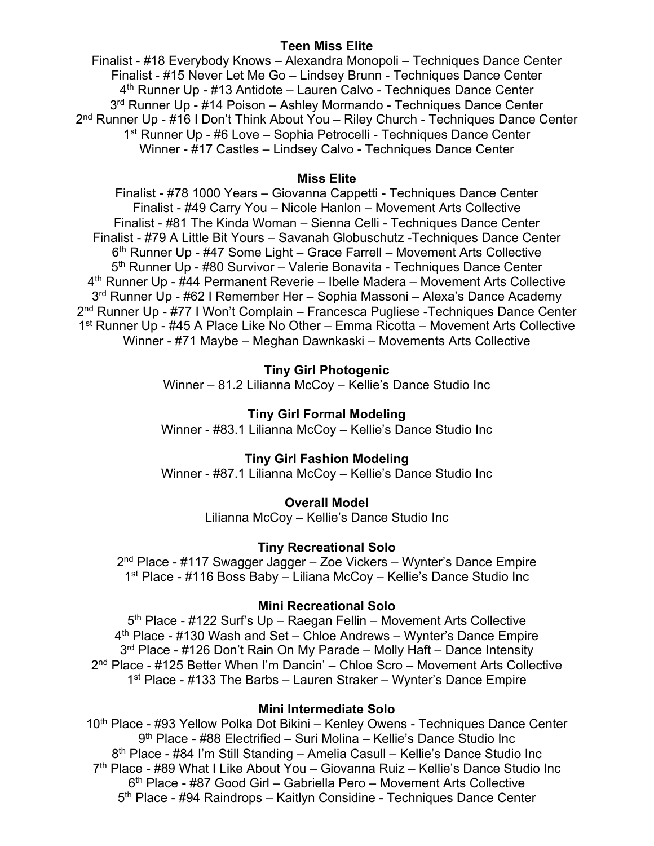## **Teen Miss Elite**

Finalist - #18 Everybody Knows – Alexandra Monopoli – Techniques Dance Center Finalist - #15 Never Let Me Go – Lindsey Brunn - Techniques Dance Center 4<sup>th</sup> Runner Up - #13 Antidote – Lauren Calvo - Techniques Dance Center 3<sup>rd</sup> Runner Up - #14 Poison – Ashley Mormando - Techniques Dance Center 2<sup>nd</sup> Runner Up - #16 I Don't Think About You - Riley Church - Techniques Dance Center 1<sup>st</sup> Runner Up - #6 Love – Sophia Petrocelli - Techniques Dance Center Winner - #17 Castles – Lindsey Calvo - Techniques Dance Center

## **Miss Elite**

Finalist - #78 1000 Years – Giovanna Cappetti - Techniques Dance Center Finalist - #49 Carry You – Nicole Hanlon – Movement Arts Collective Finalist - #81 The Kinda Woman – Sienna Celli - Techniques Dance Center Finalist - #79 A Little Bit Yours – Savanah Globuschutz -Techniques Dance Center 6th Runner Up - #47 Some Light – Grace Farrell – Movement Arts Collective 5<sup>th</sup> Runner Up - #80 Survivor – Valerie Bonavita - Techniques Dance Center 4<sup>th</sup> Runner Up - #44 Permanent Reverie – Ibelle Madera – Movement Arts Collective 3rd Runner Up - #62 I Remember Her – Sophia Massoni – Alexa's Dance Academy 2<sup>nd</sup> Runner Up - #77 I Won't Complain – Francesca Pugliese - Techniques Dance Center 1<sup>st</sup> Runner Up - #45 A Place Like No Other – Emma Ricotta – Movement Arts Collective Winner - #71 Maybe – Meghan Dawnkaski – Movements Arts Collective

## **Tiny Girl Photogenic**

Winner – 81.2 Lilianna McCoy – Kellie's Dance Studio Inc

## **Tiny Girl Formal Modeling**

Winner - #83.1 Lilianna McCoy – Kellie's Dance Studio Inc

## **Tiny Girl Fashion Modeling**

Winner - #87.1 Lilianna McCoy – Kellie's Dance Studio Inc

# **Overall Model**

Lilianna McCoy – Kellie's Dance Studio Inc

## **Tiny Recreational Solo**

2nd Place - #117 Swagger Jagger – Zoe Vickers – Wynter's Dance Empire 1st Place - #116 Boss Baby – Liliana McCoy – Kellie's Dance Studio Inc

# **Mini Recreational Solo**

5<sup>th</sup> Place - #122 Surf's Up - Raegan Fellin - Movement Arts Collective 4th Place - #130 Wash and Set – Chloe Andrews – Wynter's Dance Empire 3<sup>rd</sup> Place - #126 Don't Rain On My Parade – Molly Haft – Dance Intensity 2nd Place - #125 Better When I'm Dancin' – Chloe Scro – Movement Arts Collective 1<sup>st</sup> Place - #133 The Barbs – Lauren Straker – Wynter's Dance Empire

## **Mini Intermediate Solo**

10<sup>th</sup> Place - #93 Yellow Polka Dot Bikini – Kenley Owens - Techniques Dance Center 9th Place - #88 Electrified – Suri Molina – Kellie's Dance Studio Inc 8th Place - #84 I'm Still Standing – Amelia Casull – Kellie's Dance Studio Inc 7<sup>th</sup> Place - #89 What I Like About You – Giovanna Ruiz – Kellie's Dance Studio Inc 6th Place - #87 Good Girl – Gabriella Pero – Movement Arts Collective 5<sup>th</sup> Place - #94 Raindrops – Kaitlyn Considine - Techniques Dance Center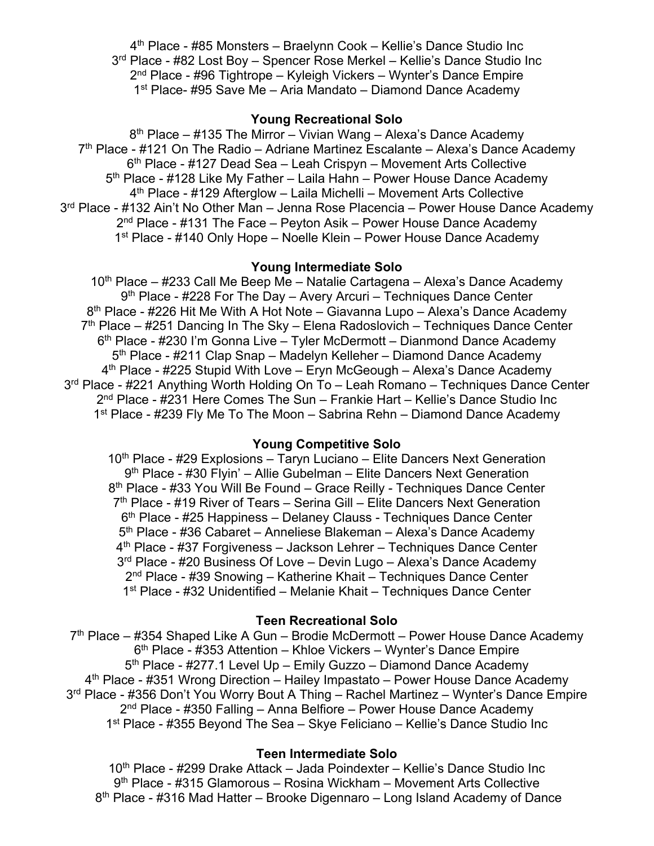4th Place - #85 Monsters – Braelynn Cook – Kellie's Dance Studio Inc 3<sup>rd</sup> Place - #82 Lost Boy – Spencer Rose Merkel – Kellie's Dance Studio Inc 2nd Place - #96 Tightrope – Kyleigh Vickers – Wynter's Dance Empire 1<sup>st</sup> Place- #95 Save Me – Aria Mandato – Diamond Dance Academy

## **Young Recreational Solo**

 $8<sup>th</sup>$  Place – #135 The Mirror – Vivian Wang – Alexa's Dance Academy  $7<sup>th</sup>$  Place - #121 On The Radio – Adriane Martinez Escalante – Alexa's Dance Academy 6th Place - #127 Dead Sea – Leah Crispyn – Movement Arts Collective 5<sup>th</sup> Place - #128 Like My Father – Laila Hahn – Power House Dance Academy 4th Place - #129 Afterglow – Laila Michelli – Movement Arts Collective 3<sup>rd</sup> Place - #132 Ain't No Other Man – Jenna Rose Placencia – Power House Dance Academy  $2<sup>nd</sup>$  Place - #131 The Face – Peyton Asik – Power House Dance Academy 1<sup>st</sup> Place - #140 Only Hope – Noelle Klein – Power House Dance Academy

## **Young Intermediate Solo**

 $10<sup>th</sup>$  Place – #233 Call Me Beep Me – Natalie Cartagena – Alexa's Dance Academy 9<sup>th</sup> Place - #228 For The Day – Avery Arcuri – Techniques Dance Center 8<sup>th</sup> Place - #226 Hit Me With A Hot Note – Giavanna Lupo – Alexa's Dance Academy  $7<sup>th</sup>$  Place – #251 Dancing In The Sky – Elena Radoslovich – Techniques Dance Center 6<sup>th</sup> Place - #230 I'm Gonna Live – Tyler McDermott – Dianmond Dance Academy 5th Place - #211 Clap Snap – Madelyn Kelleher – Diamond Dance Academy  $4<sup>th</sup>$  Place - #225 Stupid With Love – Eryn McGeough – Alexa's Dance Academy 3<sup>rd</sup> Place - #221 Anything Worth Holding On To – Leah Romano – Techniques Dance Center 2nd Place - #231 Here Comes The Sun – Frankie Hart – Kellie's Dance Studio Inc 1<sup>st</sup> Place - #239 Fly Me To The Moon – Sabrina Rehn – Diamond Dance Academy

## **Young Competitive Solo**

10<sup>th</sup> Place - #29 Explosions – Taryn Luciano – Elite Dancers Next Generation 9<sup>th</sup> Place - #30 Flyin' – Allie Gubelman – Elite Dancers Next Generation 8<sup>th</sup> Place - #33 You Will Be Found - Grace Reilly - Techniques Dance Center  $7<sup>th</sup>$  Place - #19 River of Tears – Serina Gill – Elite Dancers Next Generation 6th Place - #25 Happiness – Delaney Clauss - Techniques Dance Center 5<sup>th</sup> Place - #36 Cabaret – Anneliese Blakeman – Alexa's Dance Academy 4th Place - #37 Forgiveness – Jackson Lehrer – Techniques Dance Center  $3<sup>rd</sup>$  Place - #20 Business Of Love – Devin Lugo – Alexa's Dance Academy 2nd Place - #39 Snowing – Katherine Khait – Techniques Dance Center 1st Place - #32 Unidentified – Melanie Khait – Techniques Dance Center

## **Teen Recreational Solo**

 $7<sup>th</sup>$  Place – #354 Shaped Like A Gun – Brodie McDermott – Power House Dance Academy 6<sup>th</sup> Place - #353 Attention – Khloe Vickers – Wynter's Dance Empire 5th Place - #277.1 Level Up – Emily Guzzo – Diamond Dance Academy 4<sup>th</sup> Place - #351 Wrong Direction – Hailey Impastato – Power House Dance Academy 3<sup>rd</sup> Place - #356 Don't You Worry Bout A Thing - Rachel Martinez - Wynter's Dance Empire  $2<sup>nd</sup>$  Place - #350 Falling – Anna Belfiore – Power House Dance Academy 1<sup>st</sup> Place - #355 Beyond The Sea – Skye Feliciano – Kellie's Dance Studio Inc

## **Teen Intermediate Solo**

10<sup>th</sup> Place - #299 Drake Attack – Jada Poindexter – Kellie's Dance Studio Inc 9th Place - #315 Glamorous – Rosina Wickham – Movement Arts Collective 8th Place - #316 Mad Hatter – Brooke Digennaro – Long Island Academy of Dance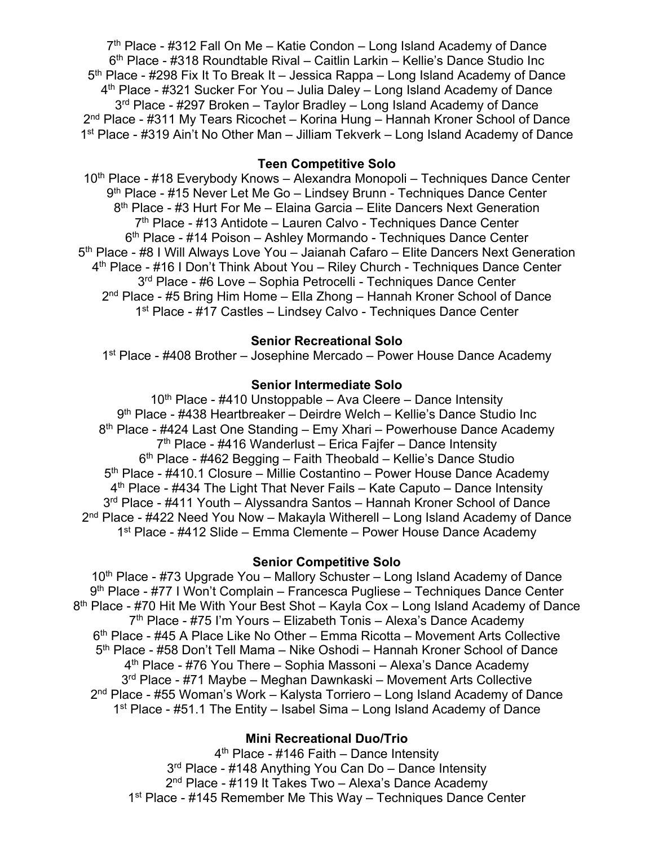$7<sup>th</sup>$  Place - #312 Fall On Me – Katie Condon – Long Island Academy of Dance 6th Place - #318 Roundtable Rival – Caitlin Larkin – Kellie's Dance Studio Inc 5<sup>th</sup> Place - #298 Fix It To Break It – Jessica Rappa – Long Island Academy of Dance 4th Place - #321 Sucker For You – Julia Daley – Long Island Academy of Dance 3<sup>rd</sup> Place - #297 Broken – Taylor Bradley – Long Island Academy of Dance 2nd Place - #311 My Tears Ricochet – Korina Hung – Hannah Kroner School of Dance 1st Place - #319 Ain't No Other Man – Jilliam Tekverk – Long Island Academy of Dance

## **Teen Competitive Solo**

10th Place - #18 Everybody Knows – Alexandra Monopoli – Techniques Dance Center 9<sup>th</sup> Place - #15 Never Let Me Go – Lindsey Brunn - Techniques Dance Center 8<sup>th</sup> Place - #3 Hurt For Me – Elaina Garcia – Elite Dancers Next Generation  $7<sup>th</sup>$  Place - #13 Antidote – Lauren Calvo - Techniques Dance Center 6<sup>th</sup> Place - #14 Poison – Ashley Mormando - Techniques Dance Center 5<sup>th</sup> Place - #8 I Will Always Love You – Jaianah Cafaro – Elite Dancers Next Generation 4<sup>th</sup> Place - #16 I Don't Think About You - Riley Church - Techniques Dance Center 3<sup>rd</sup> Place - #6 Love - Sophia Petrocelli - Techniques Dance Center  $2<sup>nd</sup>$  Place - #5 Bring Him Home – Ella Zhong – Hannah Kroner School of Dance 1<sup>st</sup> Place - #17 Castles – Lindsey Calvo - Techniques Dance Center

# **Senior Recreational Solo**

1st Place - #408 Brother – Josephine Mercado – Power House Dance Academy

## **Senior Intermediate Solo**

 $10<sup>th</sup>$  Place - #410 Unstoppable – Ava Cleere – Dance Intensity 9th Place - #438 Heartbreaker – Deirdre Welch – Kellie's Dance Studio Inc 8<sup>th</sup> Place - #424 Last One Standing – Emy Xhari – Powerhouse Dance Academy  $7<sup>th</sup>$  Place - #416 Wanderlust – Erica Fajfer – Dance Intensity  $6<sup>th</sup>$  Place - #462 Begging – Faith Theobald – Kellie's Dance Studio 5<sup>th</sup> Place - #410.1 Closure – Millie Costantino – Power House Dance Academy  $4<sup>th</sup>$  Place - #434 The Light That Never Fails – Kate Caputo – Dance Intensity 3<sup>rd</sup> Place - #411 Youth – Alyssandra Santos – Hannah Kroner School of Dance 2nd Place - #422 Need You Now – Makayla Witherell – Long Island Academy of Dance 1<sup>st</sup> Place - #412 Slide – Emma Clemente – Power House Dance Academy

## **Senior Competitive Solo**

10<sup>th</sup> Place - #73 Upgrade You – Mallory Schuster – Long Island Academy of Dance 9th Place - #77 I Won't Complain – Francesca Pugliese – Techniques Dance Center 8<sup>th</sup> Place - #70 Hit Me With Your Best Shot – Kayla Cox – Long Island Academy of Dance 7<sup>th</sup> Place - #75 I'm Yours – Elizabeth Tonis – Alexa's Dance Academy 6th Place - #45 A Place Like No Other – Emma Ricotta – Movement Arts Collective 5th Place - #58 Don't Tell Mama – Nike Oshodi – Hannah Kroner School of Dance 4<sup>th</sup> Place - #76 You There – Sophia Massoni – Alexa's Dance Academy 3rd Place - #71 Maybe – Meghan Dawnkaski – Movement Arts Collective 2nd Place - #55 Woman's Work – Kalysta Torriero – Long Island Academy of Dance 1<sup>st</sup> Place - #51.1 The Entity – Isabel Sima – Long Island Academy of Dance

# **Mini Recreational Duo/Trio**

4th Place - #146 Faith – Dance Intensity 3<sup>rd</sup> Place - #148 Anything You Can Do – Dance Intensity 2<sup>nd</sup> Place - #119 It Takes Two – Alexa's Dance Academy 1<sup>st</sup> Place - #145 Remember Me This Way – Techniques Dance Center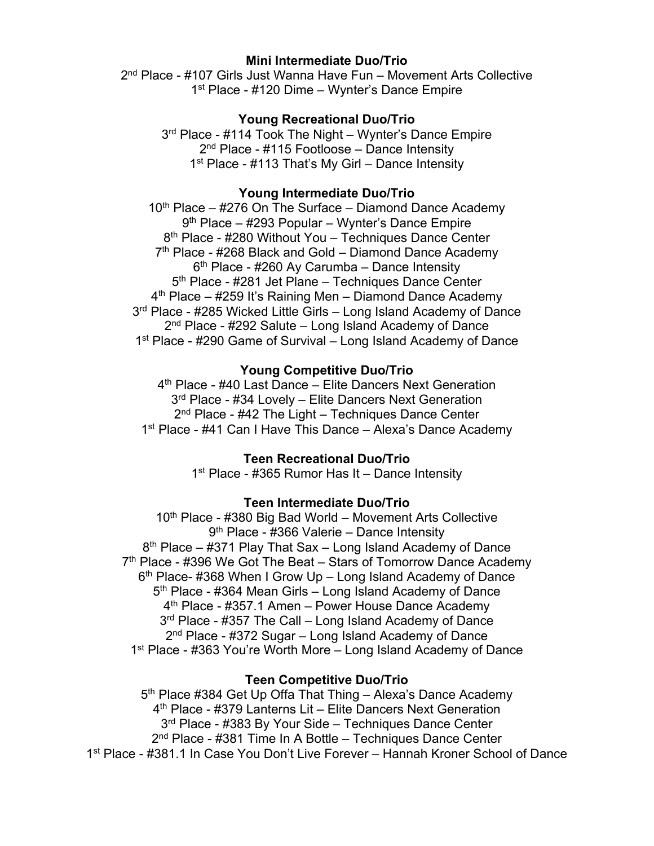## **Mini Intermediate Duo/Trio**

2<sup>nd</sup> Place - #107 Girls Just Wanna Have Fun - Movement Arts Collective 1<sup>st</sup> Place - #120 Dime – Wynter's Dance Empire

## **Young Recreational Duo/Trio**

3<sup>rd</sup> Place - #114 Took The Night – Wynter's Dance Empire 2<sup>nd</sup> Place - #115 Footloose – Dance Intensity 1<sup>st</sup> Place - #113 That's My Girl – Dance Intensity

## **Young Intermediate Duo/Trio**

 $10<sup>th</sup>$  Place – #276 On The Surface – Diamond Dance Academy 9<sup>th</sup> Place – #293 Popular – Wynter's Dance Empire 8<sup>th</sup> Place - #280 Without You – Techniques Dance Center  $7<sup>th</sup>$  Place - #268 Black and Gold – Diamond Dance Academy  $6<sup>th</sup>$  Place - #260 Ay Carumba – Dance Intensity 5<sup>th</sup> Place - #281 Jet Plane – Techniques Dance Center  $4<sup>th</sup>$  Place – #259 It's Raining Men – Diamond Dance Academy 3<sup>rd</sup> Place - #285 Wicked Little Girls – Long Island Academy of Dance  $2<sup>nd</sup>$  Place - #292 Salute – Long Island Academy of Dance 1<sup>st</sup> Place - #290 Game of Survival – Long Island Academy of Dance

## **Young Competitive Duo/Trio**

4<sup>th</sup> Place - #40 Last Dance – Elite Dancers Next Generation 3<sup>rd</sup> Place - #34 Lovely – Elite Dancers Next Generation 2<sup>nd</sup> Place - #42 The Light – Techniques Dance Center 1<sup>st</sup> Place - #41 Can I Have This Dance – Alexa's Dance Academy

## **Teen Recreational Duo/Trio**

1<sup>st</sup> Place - #365 Rumor Has It – Dance Intensity

## **Teen Intermediate Duo/Trio**

 $10<sup>th</sup>$  Place - #380 Big Bad World – Movement Arts Collective 9<sup>th</sup> Place - #366 Valerie – Dance Intensity  $8<sup>th</sup>$  Place – #371 Play That Sax – Long Island Academy of Dance  $7<sup>th</sup>$  Place - #396 We Got The Beat – Stars of Tomorrow Dance Academy  $6<sup>th</sup>$  Place- #368 When I Grow Up – Long Island Academy of Dance 5<sup>th</sup> Place - #364 Mean Girls – Long Island Academy of Dance 4th Place - #357.1 Amen – Power House Dance Academy 3<sup>rd</sup> Place - #357 The Call – Long Island Academy of Dance  $2<sup>nd</sup>$  Place - #372 Sugar – Long Island Academy of Dance 1st Place - #363 You're Worth More – Long Island Academy of Dance

## **Teen Competitive Duo/Trio**

5<sup>th</sup> Place #384 Get Up Offa That Thing - Alexa's Dance Academy 4<sup>th</sup> Place - #379 Lanterns Lit – Elite Dancers Next Generation 3<sup>rd</sup> Place - #383 By Your Side – Techniques Dance Center 2<sup>nd</sup> Place - #381 Time In A Bottle – Techniques Dance Center 1st Place - #381.1 In Case You Don't Live Forever – Hannah Kroner School of Dance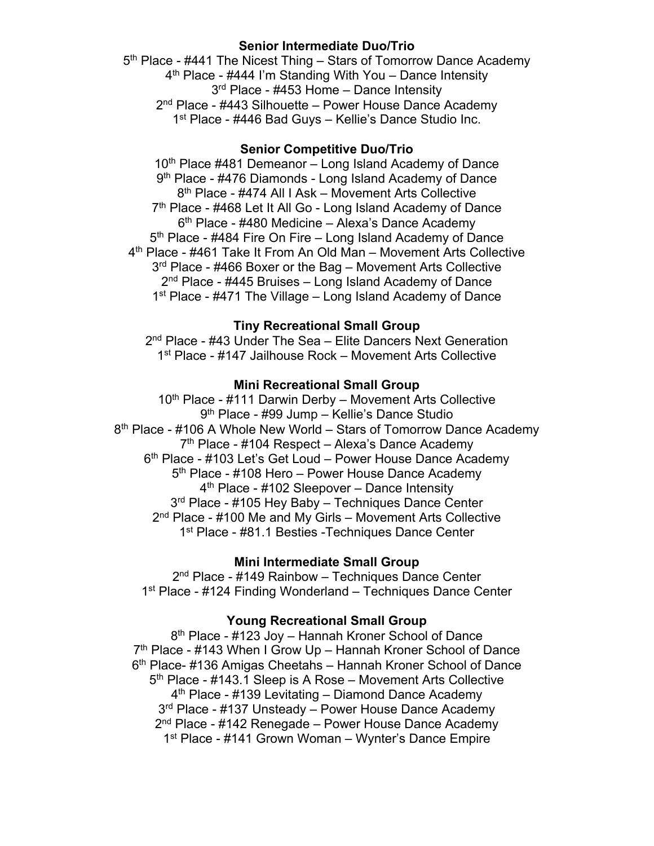## **Senior Intermediate Duo/Trio**

5<sup>th</sup> Place - #441 The Nicest Thing – Stars of Tomorrow Dance Academy  $4<sup>th</sup>$  Place - #444 I'm Standing With You – Dance Intensity 3<sup>rd</sup> Place - #453 Home – Dance Intensity 2<sup>nd</sup> Place - #443 Silhouette – Power House Dance Academy 1<sup>st</sup> Place - #446 Bad Guys – Kellie's Dance Studio Inc.

## **Senior Competitive Duo/Trio**

 $10<sup>th</sup>$  Place #481 Demeanor – Long Island Academy of Dance 9<sup>th</sup> Place - #476 Diamonds - Long Island Academy of Dance 8th Place - #474 All I Ask – Movement Arts Collective 7<sup>th</sup> Place - #468 Let It All Go - Long Island Academy of Dance  $6<sup>th</sup>$  Place - #480 Medicine – Alexa's Dance Academy  $5<sup>th</sup>$  Place - #484 Fire On Fire – Long Island Academy of Dance 4th Place - #461 Take It From An Old Man – Movement Arts Collective 3<sup>rd</sup> Place - #466 Boxer or the Bag – Movement Arts Collective 2<sup>nd</sup> Place - #445 Bruises – Long Island Academy of Dance 1<sup>st</sup> Place - #471 The Village – Long Island Academy of Dance

## **Tiny Recreational Small Group**

2<sup>nd</sup> Place - #43 Under The Sea – Elite Dancers Next Generation 1<sup>st</sup> Place - #147 Jailhouse Rock – Movement Arts Collective

## **Mini Recreational Small Group**

10<sup>th</sup> Place - #111 Darwin Derby – Movement Arts Collective 9th Place - #99 Jump – Kellie's Dance Studio 8<sup>th</sup> Place - #106 A Whole New World – Stars of Tomorrow Dance Academy  $7<sup>th</sup>$  Place - #104 Respect – Alexa's Dance Academy 6<sup>th</sup> Place - #103 Let's Get Loud – Power House Dance Academy 5<sup>th</sup> Place - #108 Hero – Power House Dance Academy 4<sup>th</sup> Place - #102 Sleepover – Dance Intensity 3<sup>rd</sup> Place - #105 Hey Baby – Techniques Dance Center 2<sup>nd</sup> Place - #100 Me and My Girls – Movement Arts Collective 1<sup>st</sup> Place - #81.1 Besties -Techniques Dance Center

## **Mini Intermediate Small Group**

2<sup>nd</sup> Place - #149 Rainbow – Techniques Dance Center 1<sup>st</sup> Place - #124 Finding Wonderland – Techniques Dance Center

## **Young Recreational Small Group**

8th Place - #123 Joy – Hannah Kroner School of Dance 7<sup>th</sup> Place - #143 When I Grow Up – Hannah Kroner School of Dance 6th Place- #136 Amigas Cheetahs – Hannah Kroner School of Dance 5th Place - #143.1 Sleep is A Rose – Movement Arts Collective  $4<sup>th</sup>$  Place - #139 Levitating – Diamond Dance Academy 3<sup>rd</sup> Place - #137 Unsteady – Power House Dance Academy 2<sup>nd</sup> Place - #142 Renegade – Power House Dance Academy 1st Place - #141 Grown Woman – Wynter's Dance Empire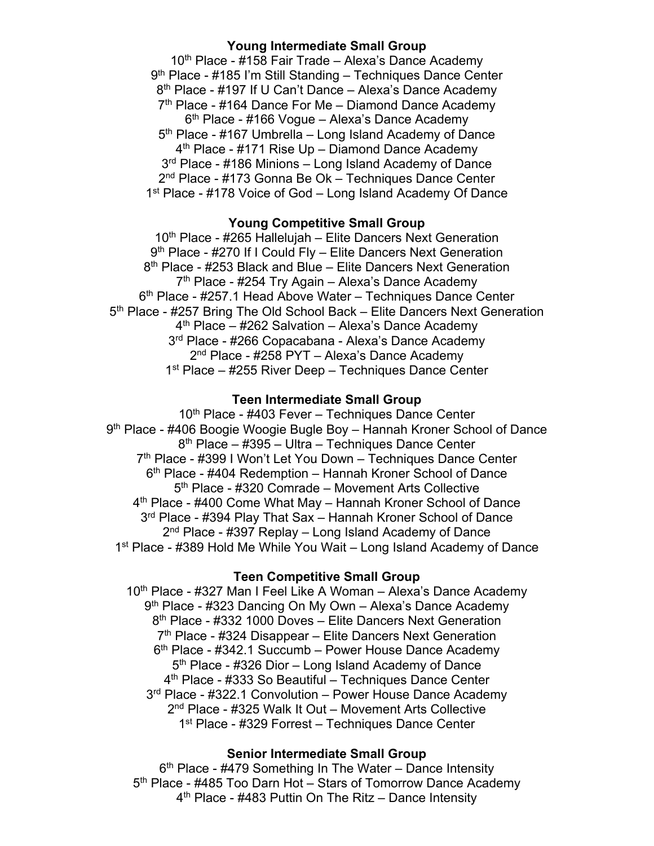## **Young Intermediate Small Group**

 $10<sup>th</sup>$  Place - #158 Fair Trade – Alexa's Dance Academy 9th Place - #185 I'm Still Standing – Techniques Dance Center 8<sup>th</sup> Place - #197 If U Can't Dance – Alexa's Dance Academy  $7<sup>th</sup>$  Place - #164 Dance For Me – Diamond Dance Academy  $6<sup>th</sup>$  Place - #166 Vogue – Alexa's Dance Academy 5<sup>th</sup> Place - #167 Umbrella – Long Island Academy of Dance  $4<sup>th</sup>$  Place - #171 Rise Up – Diamond Dance Academy 3<sup>rd</sup> Place - #186 Minions – Long Island Academy of Dance 2<sup>nd</sup> Place - #173 Gonna Be Ok – Techniques Dance Center 1<sup>st</sup> Place - #178 Voice of God – Long Island Academy Of Dance

#### **Young Competitive Small Group**

 $10<sup>th</sup>$  Place - #265 Hallelujah – Elite Dancers Next Generation 9<sup>th</sup> Place - #270 If I Could Fly – Elite Dancers Next Generation 8<sup>th</sup> Place - #253 Black and Blue – Elite Dancers Next Generation  $7<sup>th</sup>$  Place - #254 Try Again – Alexa's Dance Academy 6th Place - #257.1 Head Above Water – Techniques Dance Center 5<sup>th</sup> Place - #257 Bring The Old School Back – Elite Dancers Next Generation  $4<sup>th</sup>$  Place – #262 Salvation – Alexa's Dance Academy 3<sup>rd</sup> Place - #266 Copacabana - Alexa's Dance Academy 2<sup>nd</sup> Place - #258 PYT – Alexa's Dance Academy  $1<sup>st</sup>$  Place – #255 River Deep – Techniques Dance Center

#### **Teen Intermediate Small Group**

10<sup>th</sup> Place - #403 Fever – Techniques Dance Center 9th Place - #406 Boogie Woogie Bugle Boy – Hannah Kroner School of Dance 8th Place – #395 – Ultra – Techniques Dance Center 7th Place - #399 I Won't Let You Down – Techniques Dance Center 6<sup>th</sup> Place - #404 Redemption – Hannah Kroner School of Dance 5<sup>th</sup> Place - #320 Comrade – Movement Arts Collective 4<sup>th</sup> Place - #400 Come What May – Hannah Kroner School of Dance 3<sup>rd</sup> Place - #394 Play That Sax – Hannah Kroner School of Dance 2nd Place - #397 Replay – Long Island Academy of Dance 1st Place - #389 Hold Me While You Wait – Long Island Academy of Dance

#### **Teen Competitive Small Group**

10<sup>th</sup> Place - #327 Man I Feel Like A Woman – Alexa's Dance Academy 9th Place - #323 Dancing On My Own – Alexa's Dance Academy 8<sup>th</sup> Place - #332 1000 Doves – Elite Dancers Next Generation  $7<sup>th</sup>$  Place - #324 Disappear – Elite Dancers Next Generation 6<sup>th</sup> Place - #342.1 Succumb – Power House Dance Academy 5<sup>th</sup> Place - #326 Dior – Long Island Academy of Dance 4<sup>th</sup> Place - #333 So Beautiful – Techniques Dance Center 3<sup>rd</sup> Place - #322.1 Convolution – Power House Dance Academy 2nd Place - #325 Walk It Out – Movement Arts Collective 1<sup>st</sup> Place - #329 Forrest – Techniques Dance Center

### **Senior Intermediate Small Group**

 $6<sup>th</sup>$  Place - #479 Something In The Water – Dance Intensity 5<sup>th</sup> Place - #485 Too Darn Hot – Stars of Tomorrow Dance Academy 4th Place - #483 Puttin On The Ritz – Dance Intensity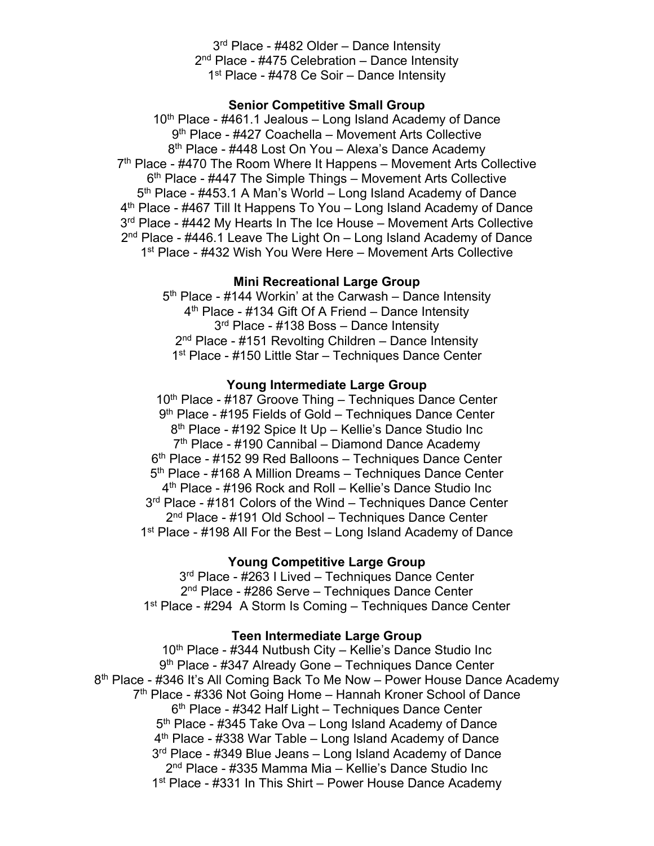3<sup>rd</sup> Place - #482 Older – Dance Intensity 2<sup>nd</sup> Place - #475 Celebration – Dance Intensity 1<sup>st</sup> Place - #478 Ce Soir – Dance Intensity

## **Senior Competitive Small Group**

 $10<sup>th</sup>$  Place - #461.1 Jealous – Long Island Academy of Dance 9th Place - #427 Coachella – Movement Arts Collective 8<sup>th</sup> Place - #448 Lost On You – Alexa's Dance Academy  $7<sup>th</sup>$  Place - #470 The Room Where It Happens – Movement Arts Collective 6<sup>th</sup> Place - #447 The Simple Things – Movement Arts Collective  $5<sup>th</sup>$  Place - #453.1 A Man's World – Long Island Academy of Dance 4th Place - #467 Till It Happens To You – Long Island Academy of Dance 3<sup>rd</sup> Place - #442 My Hearts In The Ice House – Movement Arts Collective  $2<sup>nd</sup>$  Place - #446.1 Leave The Light On – Long Island Academy of Dance 1<sup>st</sup> Place - #432 Wish You Were Here – Movement Arts Collective

### **Mini Recreational Large Group**

 $5<sup>th</sup>$  Place - #144 Workin' at the Carwash – Dance Intensity 4<sup>th</sup> Place - #134 Gift Of A Friend – Dance Intensity 3<sup>rd</sup> Place - #138 Boss – Dance Intensity  $2<sup>nd</sup>$  Place - #151 Revolting Children – Dance Intensity 1<sup>st</sup> Place - #150 Little Star – Techniques Dance Center

## **Young Intermediate Large Group**

10<sup>th</sup> Place - #187 Groove Thing - Techniques Dance Center 9<sup>th</sup> Place - #195 Fields of Gold – Techniques Dance Center 8<sup>th</sup> Place - #192 Spice It Up – Kellie's Dance Studio Inc  $7<sup>th</sup>$  Place - #190 Cannibal – Diamond Dance Academy 6th Place - #152 99 Red Balloons – Techniques Dance Center 5<sup>th</sup> Place - #168 A Million Dreams – Techniques Dance Center 4th Place - #196 Rock and Roll – Kellie's Dance Studio Inc 3<sup>rd</sup> Place - #181 Colors of the Wind – Techniques Dance Center 2<sup>nd</sup> Place - #191 Old School – Techniques Dance Center 1<sup>st</sup> Place - #198 All For the Best – Long Island Academy of Dance

## **Young Competitive Large Group**

3<sup>rd</sup> Place - #263 I Lived – Techniques Dance Center 2<sup>nd</sup> Place - #286 Serve – Techniques Dance Center 1<sup>st</sup> Place - #294 A Storm Is Coming – Techniques Dance Center

#### **Teen Intermediate Large Group**

10<sup>th</sup> Place - #344 Nutbush City – Kellie's Dance Studio Inc 9<sup>th</sup> Place - #347 Already Gone - Techniques Dance Center 8<sup>th</sup> Place - #346 It's All Coming Back To Me Now – Power House Dance Academy 7<sup>th</sup> Place - #336 Not Going Home – Hannah Kroner School of Dance 6<sup>th</sup> Place - #342 Half Light – Techniques Dance Center 5<sup>th</sup> Place - #345 Take Ova – Long Island Academy of Dance  $4<sup>th</sup>$  Place - #338 War Table – Long Island Academy of Dance 3<sup>rd</sup> Place - #349 Blue Jeans – Long Island Academy of Dance 2nd Place - #335 Mamma Mia – Kellie's Dance Studio Inc 1<sup>st</sup> Place - #331 In This Shirt – Power House Dance Academy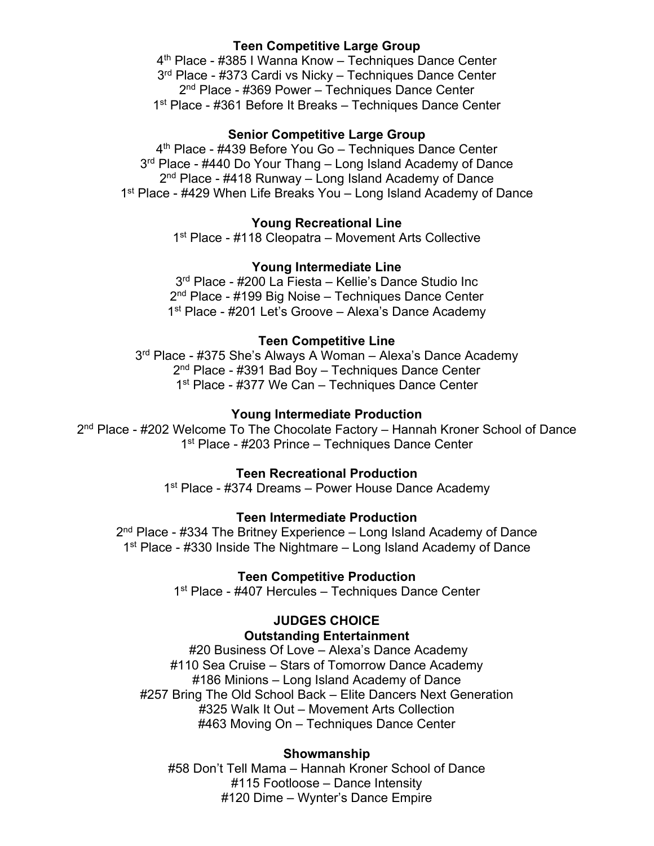## **Teen Competitive Large Group**

4th Place - #385 I Wanna Know – Techniques Dance Center 3<sup>rd</sup> Place - #373 Cardi vs Nicky – Techniques Dance Center 2<sup>nd</sup> Place - #369 Power – Techniques Dance Center 1st Place - #361 Before It Breaks – Techniques Dance Center

## **Senior Competitive Large Group**

4<sup>th</sup> Place - #439 Before You Go - Techniques Dance Center 3<sup>rd</sup> Place - #440 Do Your Thang – Long Island Academy of Dance  $2<sup>nd</sup>$  Place - #418 Runway – Long Island Academy of Dance 1<sup>st</sup> Place - #429 When Life Breaks You – Long Island Academy of Dance

## **Young Recreational Line**

1st Place - #118 Cleopatra – Movement Arts Collective

## **Young Intermediate Line**

3rd Place - #200 La Fiesta – Kellie's Dance Studio Inc 2<sup>nd</sup> Place - #199 Big Noise – Techniques Dance Center 1<sup>st</sup> Place - #201 Let's Groove – Alexa's Dance Academy

## **Teen Competitive Line**

3<sup>rd</sup> Place - #375 She's Always A Woman - Alexa's Dance Academy 2<sup>nd</sup> Place - #391 Bad Boy - Techniques Dance Center 1<sup>st</sup> Place - #377 We Can – Techniques Dance Center

#### **Young Intermediate Production**

2<sup>nd</sup> Place - #202 Welcome To The Chocolate Factory – Hannah Kroner School of Dance 1<sup>st</sup> Place - #203 Prince – Techniques Dance Center

## **Teen Recreational Production**

1<sup>st</sup> Place - #374 Dreams – Power House Dance Academy

#### **Teen Intermediate Production**

 $2<sup>nd</sup>$  Place - #334 The Britney Experience – Long Island Academy of Dance 1<sup>st</sup> Place - #330 Inside The Nightmare – Long Island Academy of Dance

## **Teen Competitive Production**

1<sup>st</sup> Place - #407 Hercules - Techniques Dance Center

## **JUDGES CHOICE**

#### **Outstanding Entertainment**

#20 Business Of Love – Alexa's Dance Academy #110 Sea Cruise – Stars of Tomorrow Dance Academy #186 Minions – Long Island Academy of Dance #257 Bring The Old School Back – Elite Dancers Next Generation #325 Walk It Out – Movement Arts Collection #463 Moving On – Techniques Dance Center

## **Showmanship**

#58 Don't Tell Mama – Hannah Kroner School of Dance #115 Footloose – Dance Intensity #120 Dime – Wynter's Dance Empire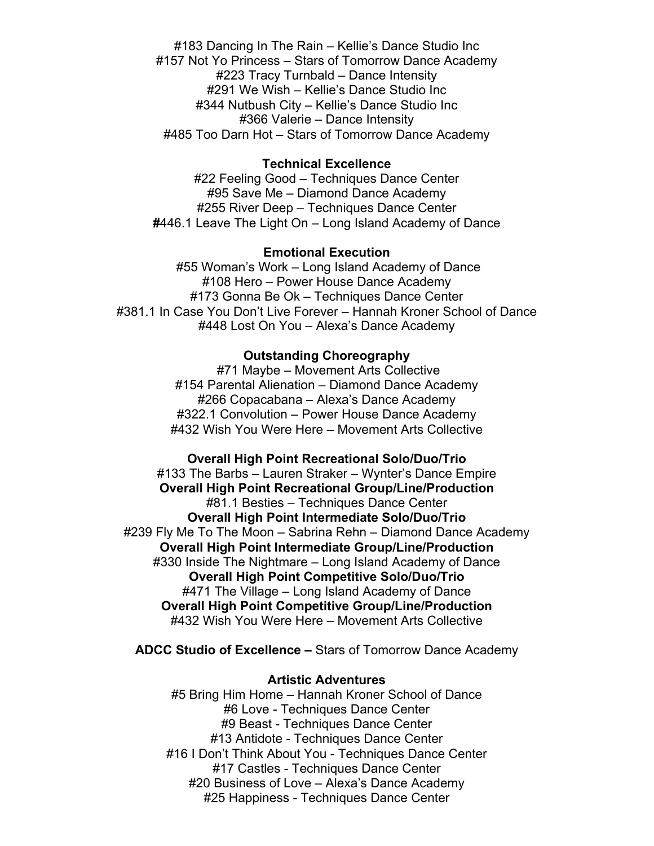#183 Dancing In The Rain – Kellie's Dance Studio Inc #157 Not Yo Princess – Stars of Tomorrow Dance Academy #223 Tracy Turnbald – Dance Intensity #291 We Wish – Kellie's Dance Studio Inc #344 Nutbush City – Kellie's Dance Studio Inc #366 Valerie – Dance Intensity #485 Too Darn Hot – Stars of Tomorrow Dance Academy

#### **Technical Excellence**

#22 Feeling Good – Techniques Dance Center #95 Save Me – Diamond Dance Academy #255 River Deep – Techniques Dance Center **#**446.1 Leave The Light On – Long Island Academy of Dance

### **Emotional Execution**

#55 Woman's Work – Long Island Academy of Dance #108 Hero – Power House Dance Academy #173 Gonna Be Ok – Techniques Dance Center #381.1 In Case You Don't Live Forever – Hannah Kroner School of Dance #448 Lost On You – Alexa's Dance Academy

#### **Outstanding Choreography**

#71 Maybe – Movement Arts Collective #154 Parental Alienation – Diamond Dance Academy #266 Copacabana – Alexa's Dance Academy #322.1 Convolution – Power House Dance Academy #432 Wish You Were Here – Movement Arts Collective

**Overall High Point Recreational Solo/Duo/Trio**  #133 The Barbs – Lauren Straker – Wynter's Dance Empire **Overall High Point Recreational Group/Line/Production** #81.1 Besties – Techniques Dance Center **Overall High Point Intermediate Solo/Duo/Trio** #239 Fly Me To The Moon – Sabrina Rehn – Diamond Dance Academy **Overall High Point Intermediate Group/Line/Production** #330 Inside The Nightmare – Long Island Academy of Dance **Overall High Point Competitive Solo/Duo/Trio** #471 The Village – Long Island Academy of Dance **Overall High Point Competitive Group/Line/Production** #432 Wish You Were Here – Movement Arts Collective

**ADCC Studio of Excellence –** Stars of Tomorrow Dance Academy

#### **Artistic Adventures**

#5 Bring Him Home – Hannah Kroner School of Dance #6 Love - Techniques Dance Center #9 Beast - Techniques Dance Center #13 Antidote - Techniques Dance Center #16 I Don't Think About You - Techniques Dance Center #17 Castles - Techniques Dance Center #20 Business of Love – Alexa's Dance Academy #25 Happiness - Techniques Dance Center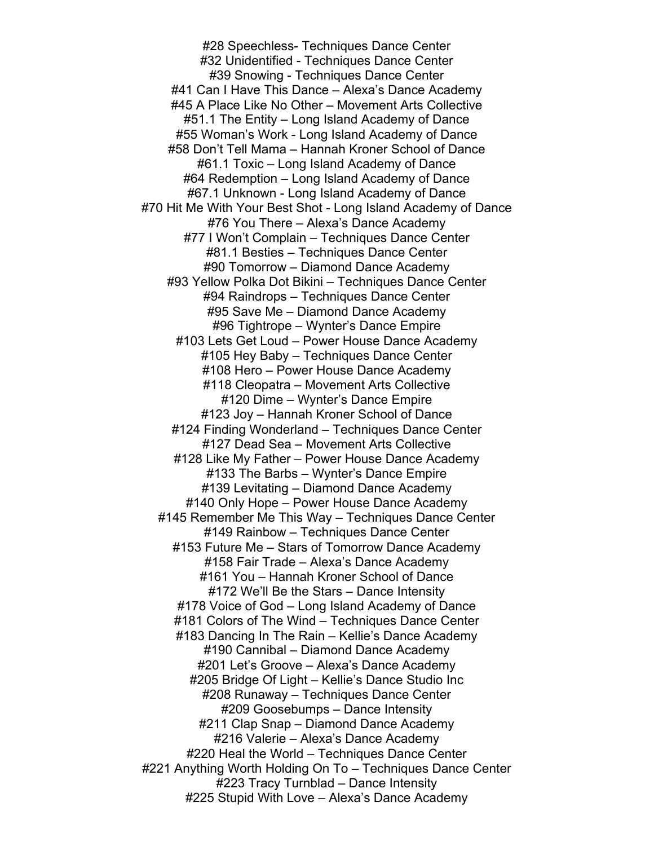#28 Speechless- Techniques Dance Center #32 Unidentified - Techniques Dance Center #39 Snowing - Techniques Dance Center #41 Can I Have This Dance – Alexa's Dance Academy #45 A Place Like No Other – Movement Arts Collective #51.1 The Entity – Long Island Academy of Dance #55 Woman's Work - Long Island Academy of Dance #58 Don't Tell Mama – Hannah Kroner School of Dance #61.1 Toxic – Long Island Academy of Dance #64 Redemption – Long Island Academy of Dance #67.1 Unknown - Long Island Academy of Dance #70 Hit Me With Your Best Shot - Long Island Academy of Dance #76 You There – Alexa's Dance Academy #77 I Won't Complain – Techniques Dance Center #81.1 Besties – Techniques Dance Center #90 Tomorrow – Diamond Dance Academy #93 Yellow Polka Dot Bikini – Techniques Dance Center #94 Raindrops – Techniques Dance Center #95 Save Me – Diamond Dance Academy #96 Tightrope – Wynter's Dance Empire #103 Lets Get Loud – Power House Dance Academy #105 Hey Baby – Techniques Dance Center #108 Hero – Power House Dance Academy #118 Cleopatra – Movement Arts Collective #120 Dime – Wynter's Dance Empire #123 Joy – Hannah Kroner School of Dance #124 Finding Wonderland – Techniques Dance Center #127 Dead Sea – Movement Arts Collective #128 Like My Father – Power House Dance Academy #133 The Barbs – Wynter's Dance Empire #139 Levitating – Diamond Dance Academy #140 Only Hope – Power House Dance Academy #145 Remember Me This Way – Techniques Dance Center #149 Rainbow – Techniques Dance Center #153 Future Me – Stars of Tomorrow Dance Academy #158 Fair Trade – Alexa's Dance Academy #161 You – Hannah Kroner School of Dance #172 We'll Be the Stars – Dance Intensity #178 Voice of God – Long Island Academy of Dance #181 Colors of The Wind – Techniques Dance Center #183 Dancing In The Rain – Kellie's Dance Academy #190 Cannibal – Diamond Dance Academy #201 Let's Groove – Alexa's Dance Academy #205 Bridge Of Light – Kellie's Dance Studio Inc #208 Runaway – Techniques Dance Center #209 Goosebumps – Dance Intensity #211 Clap Snap – Diamond Dance Academy #216 Valerie – Alexa's Dance Academy #220 Heal the World – Techniques Dance Center #221 Anything Worth Holding On To – Techniques Dance Center #223 Tracy Turnblad – Dance Intensity #225 Stupid With Love – Alexa's Dance Academy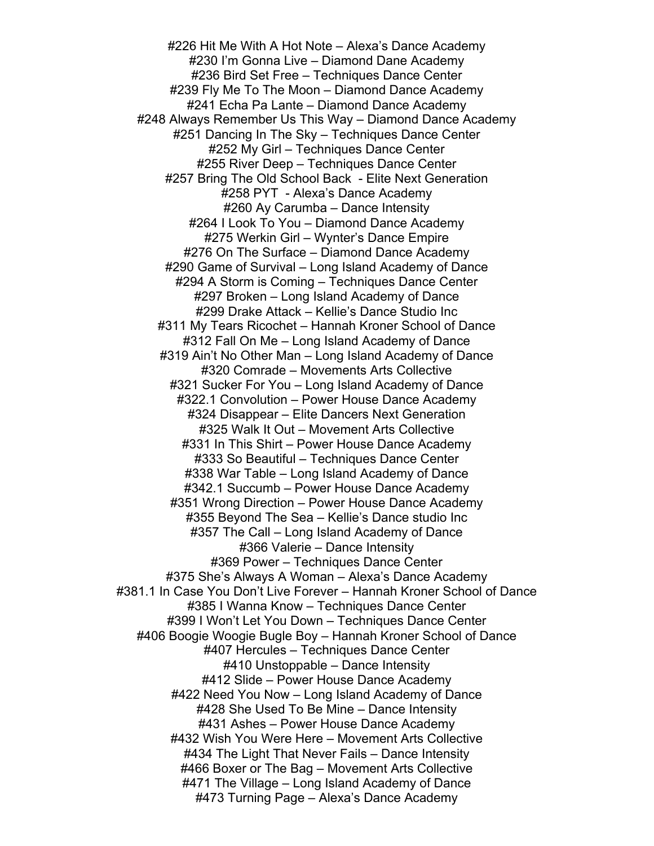#226 Hit Me With A Hot Note – Alexa's Dance Academy #230 I'm Gonna Live – Diamond Dane Academy #236 Bird Set Free – Techniques Dance Center #239 Fly Me To The Moon – Diamond Dance Academy #241 Echa Pa Lante – Diamond Dance Academy #248 Always Remember Us This Way – Diamond Dance Academy #251 Dancing In The Sky – Techniques Dance Center #252 My Girl – Techniques Dance Center #255 River Deep – Techniques Dance Center #257 Bring The Old School Back - Elite Next Generation #258 PYT - Alexa's Dance Academy #260 Ay Carumba – Dance Intensity #264 I Look To You – Diamond Dance Academy #275 Werkin Girl – Wynter's Dance Empire #276 On The Surface – Diamond Dance Academy #290 Game of Survival – Long Island Academy of Dance #294 A Storm is Coming – Techniques Dance Center #297 Broken – Long Island Academy of Dance #299 Drake Attack – Kellie's Dance Studio Inc #311 My Tears Ricochet – Hannah Kroner School of Dance #312 Fall On Me – Long Island Academy of Dance #319 Ain't No Other Man – Long Island Academy of Dance #320 Comrade – Movements Arts Collective #321 Sucker For You – Long Island Academy of Dance #322.1 Convolution – Power House Dance Academy #324 Disappear – Elite Dancers Next Generation #325 Walk It Out – Movement Arts Collective #331 In This Shirt – Power House Dance Academy #333 So Beautiful – Techniques Dance Center #338 War Table – Long Island Academy of Dance #342.1 Succumb – Power House Dance Academy #351 Wrong Direction – Power House Dance Academy #355 Beyond The Sea – Kellie's Dance studio Inc #357 The Call – Long Island Academy of Dance #366 Valerie – Dance Intensity #369 Power – Techniques Dance Center #375 She's Always A Woman – Alexa's Dance Academy #381.1 In Case You Don't Live Forever – Hannah Kroner School of Dance #385 I Wanna Know – Techniques Dance Center #399 I Won't Let You Down – Techniques Dance Center #406 Boogie Woogie Bugle Boy – Hannah Kroner School of Dance #407 Hercules – Techniques Dance Center #410 Unstoppable – Dance Intensity #412 Slide – Power House Dance Academy #422 Need You Now – Long Island Academy of Dance #428 She Used To Be Mine – Dance Intensity #431 Ashes – Power House Dance Academy #432 Wish You Were Here – Movement Arts Collective #434 The Light That Never Fails – Dance Intensity #466 Boxer or The Bag – Movement Arts Collective #471 The Village – Long Island Academy of Dance #473 Turning Page – Alexa's Dance Academy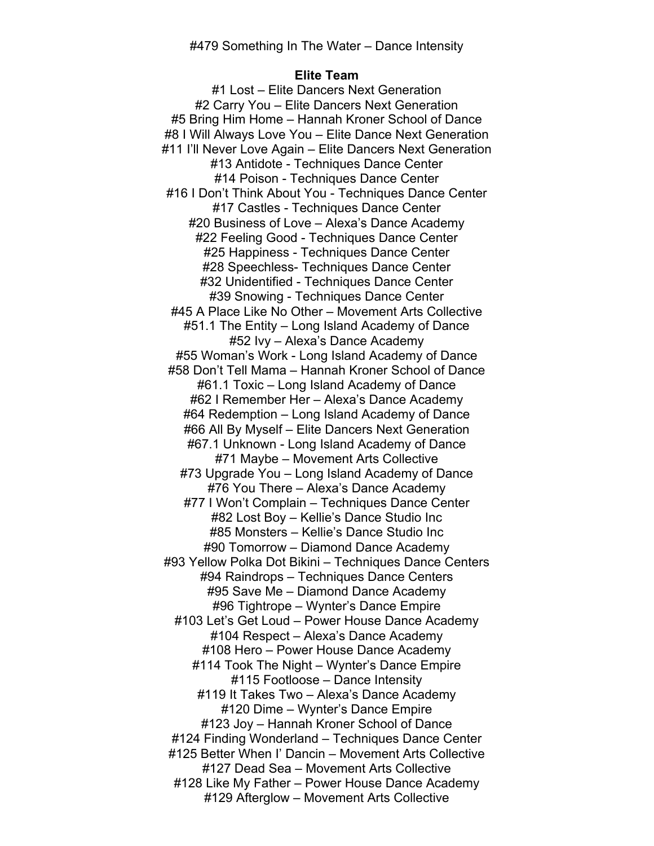### **Elite Team**

#1 Lost – Elite Dancers Next Generation #2 Carry You – Elite Dancers Next Generation #5 Bring Him Home – Hannah Kroner School of Dance #8 I Will Always Love You – Elite Dance Next Generation #11 I'll Never Love Again – Elite Dancers Next Generation #13 Antidote - Techniques Dance Center #14 Poison - Techniques Dance Center #16 I Don't Think About You - Techniques Dance Center #17 Castles - Techniques Dance Center #20 Business of Love – Alexa's Dance Academy #22 Feeling Good - Techniques Dance Center #25 Happiness - Techniques Dance Center #28 Speechless- Techniques Dance Center #32 Unidentified - Techniques Dance Center #39 Snowing - Techniques Dance Center #45 A Place Like No Other – Movement Arts Collective #51.1 The Entity – Long Island Academy of Dance #52 Ivy – Alexa's Dance Academy #55 Woman's Work - Long Island Academy of Dance #58 Don't Tell Mama – Hannah Kroner School of Dance #61.1 Toxic – Long Island Academy of Dance #62 I Remember Her – Alexa's Dance Academy #64 Redemption – Long Island Academy of Dance #66 All By Myself – Elite Dancers Next Generation #67.1 Unknown - Long Island Academy of Dance #71 Maybe – Movement Arts Collective #73 Upgrade You – Long Island Academy of Dance #76 You There – Alexa's Dance Academy #77 I Won't Complain – Techniques Dance Center #82 Lost Boy – Kellie's Dance Studio Inc #85 Monsters – Kellie's Dance Studio Inc #90 Tomorrow – Diamond Dance Academy #93 Yellow Polka Dot Bikini – Techniques Dance Centers #94 Raindrops – Techniques Dance Centers #95 Save Me – Diamond Dance Academy #96 Tightrope – Wynter's Dance Empire #103 Let's Get Loud – Power House Dance Academy #104 Respect – Alexa's Dance Academy #108 Hero – Power House Dance Academy #114 Took The Night – Wynter's Dance Empire #115 Footloose – Dance Intensity #119 It Takes Two – Alexa's Dance Academy #120 Dime – Wynter's Dance Empire #123 Joy – Hannah Kroner School of Dance #124 Finding Wonderland – Techniques Dance Center #125 Better When I' Dancin – Movement Arts Collective #127 Dead Sea – Movement Arts Collective #128 Like My Father – Power House Dance Academy #129 Afterglow – Movement Arts Collective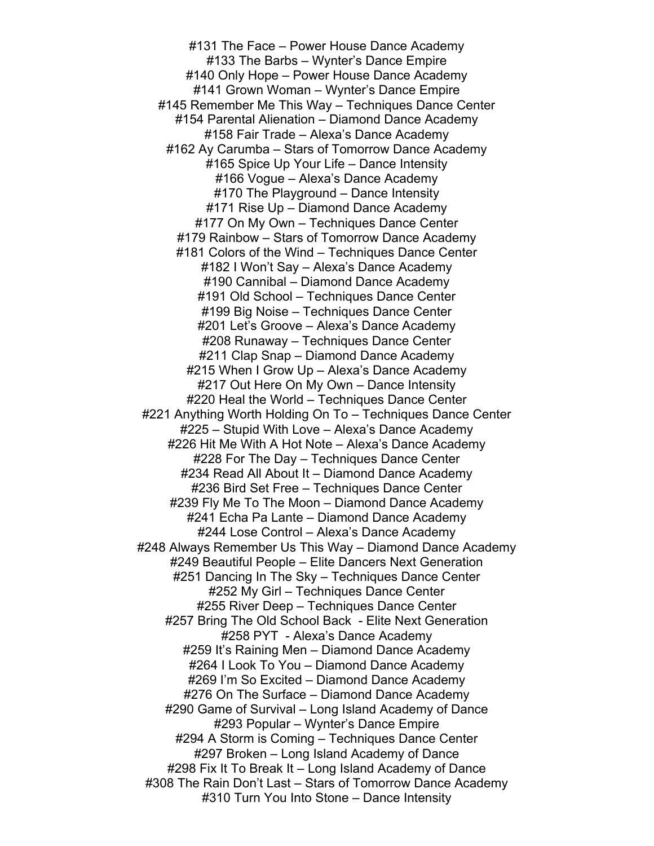#131 The Face – Power House Dance Academy #133 The Barbs – Wynter's Dance Empire #140 Only Hope – Power House Dance Academy #141 Grown Woman – Wynter's Dance Empire #145 Remember Me This Way – Techniques Dance Center #154 Parental Alienation – Diamond Dance Academy #158 Fair Trade – Alexa's Dance Academy #162 Ay Carumba – Stars of Tomorrow Dance Academy #165 Spice Up Your Life – Dance Intensity #166 Vogue – Alexa's Dance Academy #170 The Playground – Dance Intensity #171 Rise Up – Diamond Dance Academy #177 On My Own – Techniques Dance Center #179 Rainbow – Stars of Tomorrow Dance Academy #181 Colors of the Wind – Techniques Dance Center #182 I Won't Say – Alexa's Dance Academy #190 Cannibal – Diamond Dance Academy #191 Old School – Techniques Dance Center #199 Big Noise – Techniques Dance Center #201 Let's Groove – Alexa's Dance Academy #208 Runaway – Techniques Dance Center #211 Clap Snap – Diamond Dance Academy #215 When I Grow Up – Alexa's Dance Academy #217 Out Here On My Own – Dance Intensity #220 Heal the World – Techniques Dance Center #221 Anything Worth Holding On To – Techniques Dance Center #225 – Stupid With Love – Alexa's Dance Academy #226 Hit Me With A Hot Note – Alexa's Dance Academy #228 For The Day – Techniques Dance Center #234 Read All About It – Diamond Dance Academy #236 Bird Set Free – Techniques Dance Center #239 Fly Me To The Moon – Diamond Dance Academy #241 Echa Pa Lante – Diamond Dance Academy #244 Lose Control – Alexa's Dance Academy #248 Always Remember Us This Way – Diamond Dance Academy #249 Beautiful People – Elite Dancers Next Generation #251 Dancing In The Sky – Techniques Dance Center #252 My Girl – Techniques Dance Center #255 River Deep – Techniques Dance Center #257 Bring The Old School Back - Elite Next Generation #258 PYT - Alexa's Dance Academy #259 It's Raining Men – Diamond Dance Academy #264 I Look To You – Diamond Dance Academy #269 I'm So Excited – Diamond Dance Academy #276 On The Surface – Diamond Dance Academy #290 Game of Survival – Long Island Academy of Dance #293 Popular – Wynter's Dance Empire #294 A Storm is Coming – Techniques Dance Center #297 Broken – Long Island Academy of Dance #298 Fix It To Break It – Long Island Academy of Dance #308 The Rain Don't Last – Stars of Tomorrow Dance Academy #310 Turn You Into Stone – Dance Intensity